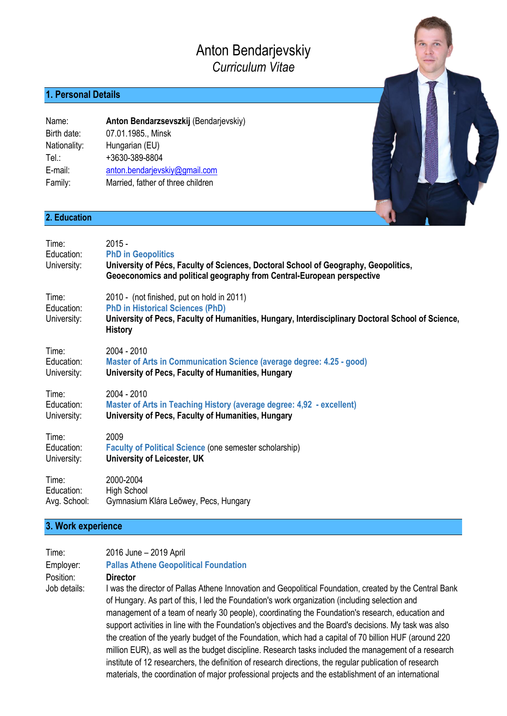# Anton Bendarjevskiy *Curriculum Vitae*

# **1. Personal Details**

| Name:        | Anton Bendarzsevszkij (Bendarjevskiy) |
|--------------|---------------------------------------|
| Birth date:  | 07.01.1985., Minsk                    |
| Nationality: | Hungarian (EU)                        |
| Tel∴         | +3630-389-8804                        |
| E-mail:      | anton.bendarjevskiy@gmail.com         |
| Family:      | Married, father of three children     |

### **2. Education**

| Time:<br>Education:<br>University: | $2015 -$<br><b>PhD in Geopolitics</b><br>University of Pécs, Faculty of Sciences, Doctoral School of Geography, Geopolitics,<br>Geoeconomics and political geography from Central-European perspective       |
|------------------------------------|--------------------------------------------------------------------------------------------------------------------------------------------------------------------------------------------------------------|
| Time:<br>Education:<br>University: | 2010 - (not finished, put on hold in 2011)<br><b>PhD in Historical Sciences (PhD)</b><br>University of Pecs, Faculty of Humanities, Hungary, Interdisciplinary Doctoral School of Science,<br><b>History</b> |
| Time:                              | 2004 - 2010                                                                                                                                                                                                  |
| Education:                         | Master of Arts in Communication Science (average degree: 4.25 - good)                                                                                                                                        |
| University:                        | University of Pecs, Faculty of Humanities, Hungary                                                                                                                                                           |
| Time:                              | 2004 - 2010                                                                                                                                                                                                  |
| Education:                         | Master of Arts in Teaching History (average degree: 4,92 - excellent)                                                                                                                                        |
| University:                        | University of Pecs, Faculty of Humanities, Hungary                                                                                                                                                           |
| Time:                              | 2009                                                                                                                                                                                                         |
| Education:                         | <b>Faculty of Political Science (one semester scholarship)</b>                                                                                                                                               |
| University:                        | University of Leicester, UK                                                                                                                                                                                  |
| Time:                              | 2000-2004                                                                                                                                                                                                    |
| Education:                         | <b>High School</b>                                                                                                                                                                                           |
| Avg. School:                       | Gymnasium Klára Leőwey, Pecs, Hungary                                                                                                                                                                        |

## **3. Work experience**

| Time:        | 2016 June - 2019 April                                                                                    |
|--------------|-----------------------------------------------------------------------------------------------------------|
| Employer:    | <b>Pallas Athene Geopolitical Foundation</b>                                                              |
| Position:    | <b>Director</b>                                                                                           |
| Job details: | was the director of Pallas Athene Innovation and Geopolitical Foundation, created by the Central Bank     |
|              | of Hungary. As part of this, I led the Foundation's work organization (including selection and            |
|              | management of a team of nearly 30 people), coordinating the Foundation's research, education and          |
|              | ounnet settivities in line with the Equipmention's objectives and the Desiries designed. Mutaels was also |

mdation's research, education and support activities in line with the Foundation's objectives and the Board's decisions. My task was also the creation of the yearly budget of the Foundation, which had a capital of 70 billion HUF (around 220 million EUR), as well as the budget discipline. Research tasks included the management of a research institute of 12 researchers, the definition of research directions, the regular publication of research materials, the coordination of major professional projects and the establishment of an international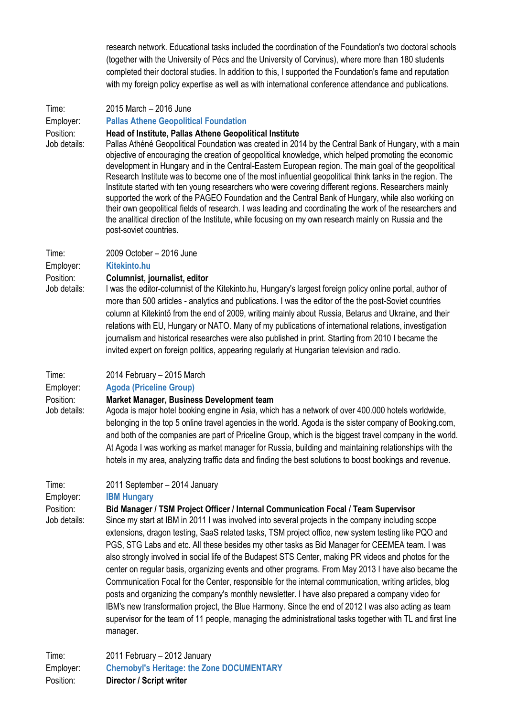research network. Educational tasks included the coordination of the Foundation's two doctoral schools (together with the University of Pécs and the University of Corvinus), where more than 180 students completed their doctoral studies. In addition to this, I supported the Foundation's fame and reputation with my foreign policy expertise as well as with international conference attendance and publications.

| Time:                     | 2015 March - 2016 June                                                                                                                                                                                                                                                                                                                                                                                                                                                                                                                                                                                                                                                                                                                                                                                                                                                                                                                                                                                                                           |
|---------------------------|--------------------------------------------------------------------------------------------------------------------------------------------------------------------------------------------------------------------------------------------------------------------------------------------------------------------------------------------------------------------------------------------------------------------------------------------------------------------------------------------------------------------------------------------------------------------------------------------------------------------------------------------------------------------------------------------------------------------------------------------------------------------------------------------------------------------------------------------------------------------------------------------------------------------------------------------------------------------------------------------------------------------------------------------------|
| Employer:                 | <b>Pallas Athene Geopolitical Foundation</b>                                                                                                                                                                                                                                                                                                                                                                                                                                                                                                                                                                                                                                                                                                                                                                                                                                                                                                                                                                                                     |
| Position:<br>Job details: | Head of Institute, Pallas Athene Geopolitical Institute<br>Pallas Athéné Geopolitical Foundation was created in 2014 by the Central Bank of Hungary, with a main<br>objective of encouraging the creation of geopolitical knowledge, which helped promoting the economic<br>development in Hungary and in the Central-Eastern European region. The main goal of the geopolitical<br>Research Institute was to become one of the most influential geopolitical think tanks in the region. The<br>Institute started with ten young researchers who were covering different regions. Researchers mainly<br>supported the work of the PAGEO Foundation and the Central Bank of Hungary, while also working on<br>their own geopolitical fields of research. I was leading and coordinating the work of the researchers and<br>the analitical direction of the Institute, while focusing on my own research mainly on Russia and the<br>post-soviet countries.                                                                                        |
| Time:                     | 2009 October - 2016 June                                                                                                                                                                                                                                                                                                                                                                                                                                                                                                                                                                                                                                                                                                                                                                                                                                                                                                                                                                                                                         |
| Employer:                 | <b>Kitekinto.hu</b>                                                                                                                                                                                                                                                                                                                                                                                                                                                                                                                                                                                                                                                                                                                                                                                                                                                                                                                                                                                                                              |
| Position:<br>Job details: | Columnist, journalist, editor<br>I was the editor-columnist of the Kitekinto.hu, Hungary's largest foreign policy online portal, author of<br>more than 500 articles - analytics and publications. I was the editor of the the post-Soviet countries<br>column at Kitekintő from the end of 2009, writing mainly about Russia, Belarus and Ukraine, and their<br>relations with EU, Hungary or NATO. Many of my publications of international relations, investigation<br>journalism and historical researches were also published in print. Starting from 2010 I became the<br>invited expert on foreign politics, appearing regularly at Hungarian television and radio.                                                                                                                                                                                                                                                                                                                                                                       |
| Time:                     | 2014 February - 2015 March                                                                                                                                                                                                                                                                                                                                                                                                                                                                                                                                                                                                                                                                                                                                                                                                                                                                                                                                                                                                                       |
| Employer:                 | <b>Agoda (Priceline Group)</b>                                                                                                                                                                                                                                                                                                                                                                                                                                                                                                                                                                                                                                                                                                                                                                                                                                                                                                                                                                                                                   |
| Position:<br>Job details: | Market Manager, Business Development team<br>Agoda is major hotel booking engine in Asia, which has a network of over 400.000 hotels worldwide,<br>belonging in the top 5 online travel agencies in the world. Agoda is the sister company of Booking.com,<br>and both of the companies are part of Priceline Group, which is the biggest travel company in the world.<br>At Agoda I was working as market manager for Russia, building and maintaining relationships with the<br>hotels in my area, analyzing traffic data and finding the best solutions to boost bookings and revenue.                                                                                                                                                                                                                                                                                                                                                                                                                                                        |
| Time:                     | 2011 September - 2014 January                                                                                                                                                                                                                                                                                                                                                                                                                                                                                                                                                                                                                                                                                                                                                                                                                                                                                                                                                                                                                    |
| Employer:                 | <b>IBM Hungary</b>                                                                                                                                                                                                                                                                                                                                                                                                                                                                                                                                                                                                                                                                                                                                                                                                                                                                                                                                                                                                                               |
| Position:<br>Job details: | Bid Manager / TSM Project Officer / Internal Communication Focal / Team Supervisor<br>Since my start at IBM in 2011 I was involved into several projects in the company including scope<br>extensions, dragon testing, SaaS related tasks, TSM project office, new system testing like PQO and<br>PGS, STG Labs and etc. All these besides my other tasks as Bid Manager for CEEMEA team. I was<br>also strongly involved in social life of the Budapest STS Center, making PR videos and photos for the<br>center on regular basis, organizing events and other programs. From May 2013 I have also became the<br>Communication Focal for the Center, responsible for the internal communication, writing articles, blog<br>posts and organizing the company's monthly newsletter. I have also prepared a company video for<br>IBM's new transformation project, the Blue Harmony. Since the end of 2012 I was also acting as team<br>supervisor for the team of 11 people, managing the administrational tasks together with TL and first line |

Time: 2011 February – 2012 January Employer: **Chernobyl's Heritage: the Zone DOCUMENTARY** Position: **Director / Script writer**

manager.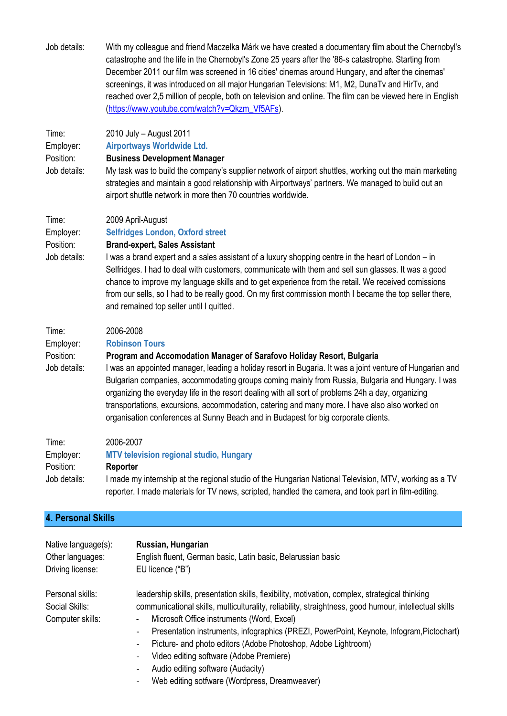| Job details: | With my colleague and friend Maczelka Márk we have created a documentary film about the Chernobyl's       |
|--------------|-----------------------------------------------------------------------------------------------------------|
|              | catastrophe and the life in the Chernobyl's Zone 25 years after the '86-s catastrophe. Starting from      |
|              | December 2011 our film was screened in 16 cities' cinemas around Hungary, and after the cinemas'          |
|              | screenings, it was introduced on all major Hungarian Televisions: M1, M2, DunaTv and HirTv, and           |
|              | reached over 2,5 million of people, both on television and online. The film can be viewed here in English |
|              | (https://www.youtube.com/watch?v=Qkzm Vf5AFs).                                                            |
|              |                                                                                                           |

| Time:        | 2010 July - August 2011                                                                                                                                                                                                                                                                                                                                                                                                                                                                                    |
|--------------|------------------------------------------------------------------------------------------------------------------------------------------------------------------------------------------------------------------------------------------------------------------------------------------------------------------------------------------------------------------------------------------------------------------------------------------------------------------------------------------------------------|
| Employer:    | <b>Airportways Worldwide Ltd.</b>                                                                                                                                                                                                                                                                                                                                                                                                                                                                          |
| Position:    | <b>Business Development Manager</b>                                                                                                                                                                                                                                                                                                                                                                                                                                                                        |
| Job details: | My task was to build the company's supplier network of airport shuttles, working out the main marketing<br>strategies and maintain a good relationship with Airportways' partners. We managed to build out an<br>airport shuttle network in more then 70 countries worldwide.                                                                                                                                                                                                                              |
| Time:        | 2009 April-August                                                                                                                                                                                                                                                                                                                                                                                                                                                                                          |
| Employer:    | <b>Selfridges London, Oxford street</b>                                                                                                                                                                                                                                                                                                                                                                                                                                                                    |
| Position:    | <b>Brand-expert, Sales Assistant</b>                                                                                                                                                                                                                                                                                                                                                                                                                                                                       |
| Job details: | I was a brand expert and a sales assistant of a luxury shopping centre in the heart of London – in<br>Selfridges. I had to deal with customers, communicate with them and sell sun glasses. It was a good<br>chance to improve my language skills and to get experience from the retail. We received comissions<br>from our sells, so I had to be really good. On my first commission month I became the top seller there,<br>and remained top seller until I quitted.                                     |
| Time:        | 2006-2008                                                                                                                                                                                                                                                                                                                                                                                                                                                                                                  |
| Employer:    | <b>Robinson Tours</b>                                                                                                                                                                                                                                                                                                                                                                                                                                                                                      |
| Position:    | Program and Accomodation Manager of Sarafovo Holiday Resort, Bulgaria                                                                                                                                                                                                                                                                                                                                                                                                                                      |
| Job details: | I was an appointed manager, leading a holiday resort in Bugaria. It was a joint venture of Hungarian and<br>Bulgarian companies, accommodating groups coming mainly from Russia, Bulgaria and Hungary. I was<br>organizing the everyday life in the resort dealing with all sort of problems 24h a day, organizing<br>transportations, excursions, accommodation, catering and many more. I have also also worked on<br>organisation conferences at Sunny Beach and in Budapest for big corporate clients. |
| Time:        | 2006-2007                                                                                                                                                                                                                                                                                                                                                                                                                                                                                                  |
| Employer:    | <b>MTV television regional studio, Hungary</b>                                                                                                                                                                                                                                                                                                                                                                                                                                                             |
| Position:    | Reporter                                                                                                                                                                                                                                                                                                                                                                                                                                                                                                   |
| Job details: | I made my internship at the regional studio of the Hungarian National Television, MTV, working as a TV<br>reporter. I made materials for TV news, scripted, handled the camera, and took part in film-editing.                                                                                                                                                                                                                                                                                             |

# **4. Personal Skills**

| Native language(s):                                    | Russian, Hungarian                                                                                                                                                                                                                                                                                                                                                                                                                                                                                                                                                                 |
|--------------------------------------------------------|------------------------------------------------------------------------------------------------------------------------------------------------------------------------------------------------------------------------------------------------------------------------------------------------------------------------------------------------------------------------------------------------------------------------------------------------------------------------------------------------------------------------------------------------------------------------------------|
| Other languages:                                       | English fluent, German basic, Latin basic, Belarussian basic                                                                                                                                                                                                                                                                                                                                                                                                                                                                                                                       |
| Driving license:                                       | EU licence ("B")                                                                                                                                                                                                                                                                                                                                                                                                                                                                                                                                                                   |
| Personal skills:<br>Social Skills:<br>Computer skills: | leadership skills, presentation skills, flexibility, motivation, complex, strategical thinking<br>communicational skills, multiculturality, reliability, straightness, good humour, intellectual skills<br>Microsoft Office instruments (Word, Excel)<br>۰<br>Presentation instruments, infographics (PREZI, PowerPoint, Keynote, Infogram, Pictochart)<br>$\overline{\phantom{a}}$<br>Picture- and photo editors (Adobe Photoshop, Adobe Lightroom)<br>$\blacksquare$<br>Video editing software (Adobe Premiere)<br>$\overline{\phantom{a}}$<br>Audio editing software (Audacity) |

- Web editing sotfware (Wordpress, Dreamweaver)